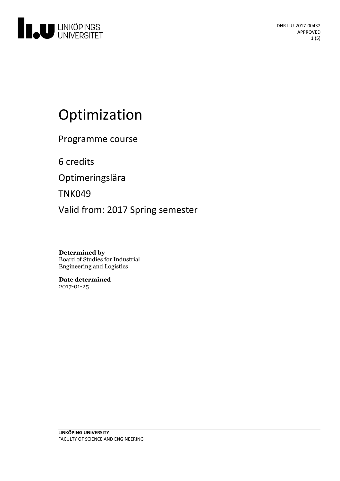

# Optimization

Programme course

6 credits

Optimeringslära

TNK049

Valid from: 2017 Spring semester

**Determined by** Board of Studies for Industrial Engineering and Logistics

**Date determined** 2017-01-25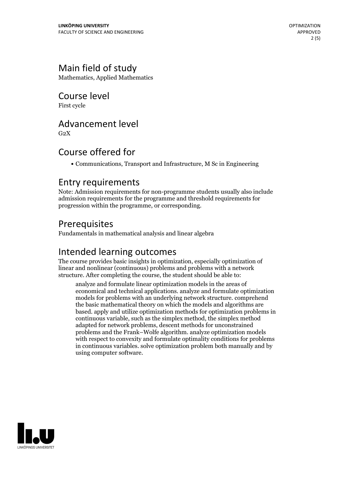## Main field of study

Mathematics, Applied Mathematics

Course level

First cycle

#### Advancement level

 $G<sub>2</sub>X$ 

# Course offered for

Communications, Transport and Infrastructure, M Sc in Engineering

#### Entry requirements

Note: Admission requirements for non-programme students usually also include admission requirements for the programme and threshold requirements for progression within the programme, or corresponding.

#### Prerequisites

Fundamentals in mathematical analysis and linear algebra

#### Intended learning outcomes

The course provides basic insights in optimization, especially optimization of linear and nonlinear (continuous) problems and problems with a network structure. After completing the course, the student should be able to:

analyze and formulate linear optimization models in the areas of economical and technical applications. analyze and formulate optimization models for problems with an underlying network structure. comprehend the basic mathematical theory on which the models and algorithms are based. apply and utilize optimization methods for optimization problems in continuous variable, such as the simplex method, the simplex method adapted for network problems, descent methods for unconstrained problems and the Frank–Wolfe algorithm. analyze optimization models with respect to convexity and formulate optimality conditions for problems in continuous variables. solve optimization problem both manually and by using computer software.

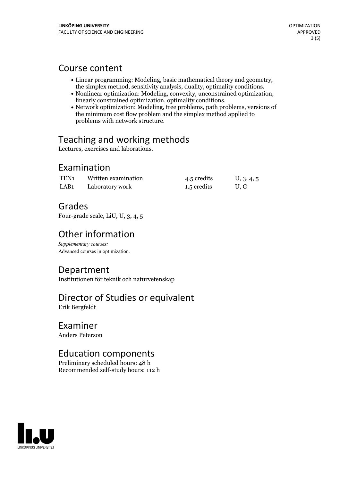#### Course content

- 
- Linear programming: Modeling, basic mathematical theory and geometry,<br>the simplex method, sensitivity analysis, duality, optimality conditions.<br>• Nonlinear optimization: Modeling, convexity, unconstrained optimization,<br>l
- the minimum cost flow problem and the simplex method applied to problems with network structure.

# Teaching and working methods

Lectures, exercises and laborations.

### Examination

| TEN <sub>1</sub> | Written examination | 4.5 credits | U, 3, 4, 5 |
|------------------|---------------------|-------------|------------|
| LAB <sub>1</sub> | Laboratory work     | 1.5 credits | U.G        |

# Grades

Four-grade scale, LiU, U, 3, 4, 5

# Other information

*Supplementary courses:* Advanced courses in optimization.

# Department

Institutionen för teknik och naturvetenskap

#### Director of Studies or equivalent Erik Bergfeldt

Examiner

Anders Peterson

# Education components

Preliminary scheduled hours: 48 h Recommended self-study hours: 112 h

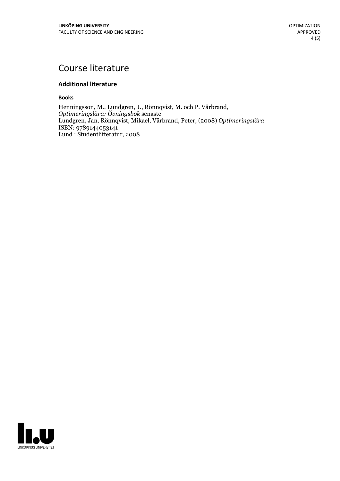# Course literature

#### **Additional literature**

**Books**

Henningsson, M., Lundgren, J., Rönnqvist, M. och P. Värbrand, *Optimeringslära: Övningsbok* senaste Lundgren, Jan, Rönnqvist, Mikael, Värbrand, Peter, (2008) *Optimeringslära* ISBN: 9789144053141 Lund : Studentlitteratur, 2008